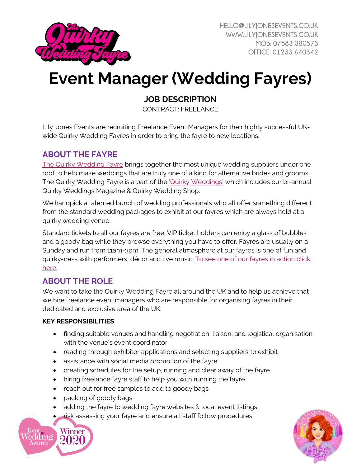

# **Event Manager (Wedding Fayres)**

## **JOB DESCRIPTION**

CONTRACT: FREELANCE

Lily Jones Events are recruiting Freelance Event Managers for their highly successful UKwide Quirky Wedding Fayres in order to bring the fayre to new locations.

## **ABOUT THE FAYRE**

[The Quirky Wedding Fayre](https://www.quirkyweddingfayre.co.uk/) brings together the most unique wedding suppliers under one roof to help make weddings that are truly one of a kind for alternative brides and grooms. The Quirky Wedding Fayre is a part of the '[Quirky We](https://www.quirky-weddings.com/)ddings' which includes our bi-annual Quirky Weddings Magazine & Quirky Wedding Shop.

We handpick a talented bunch of wedding professionals who all offer something different from the standard wedding packages to exhibit at our fayres which are always held at a quirky wedding venue.

Standard tickets to all our fayres are free. VIP ticket holders can enjoy a glass of bubbles and a goody bag while they browse everything you have to offer. Fayres are usually on a Sunday and run from 11am-3pm. The general atmosphere at our fayres is one of fun and quirky-ness with performers, décor and live music. [To see one of our fayres in action click](https://www.youtube.com/watch?v=1hqJP-WwQco)  [here.](https://www.youtube.com/watch?v=1hqJP-WwQco)

## **ABOUT THE ROLE**

We want to take the Quirky Wedding Fayre all around the UK and to help us achieve that we hire freelance event managers who are responsible for organising fayres in their dedicated and exclusive area of the UK.

#### **KEY RESPONSIBILITIES**

- finding suitable venues and handling negotiation, liaison, and logistical organisation with the venue's event coordinator
- reading through exhibitor applications and selecting suppliers to exhibit
- assistance with social media promotion of the fayre
- creating schedules for the setup, running and clear away of the fayre
- hiring freelance fayre staff to help you with running the fayre
- reach out for free samples to add to goody bags
- packing of goody bags
- adding the fayre to wedding fayre websites & local event listings
- risk assessing your fayre and ensure all staff follow procedures



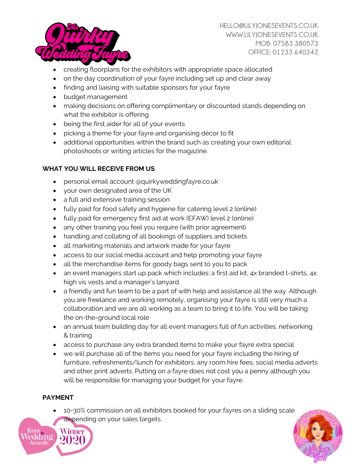

- creating floorplans for the exhibitors with appropriate space allocated
- on the day coordination of your fayre including set up and clear away
- finding and liaising with suitable sponsors for your fayre
- budget management
- making decisions on offering complimentary or discounted stands depending on what the exhibitor is offering
- being the first aider for all of your events
- picking a theme for your fayre and organising décor to fit
- additional opportunities within the brand such as creating your own editorial photoshoots or writing articles for the magazine.

#### **WHAT YOU WILL RECEIVE FROM US**

- personal email account @quirkyweddingfayre.co.uk
- your own designated area of the UK
- a full and extensive training session
- fully paid for food safety and hygiene for catering level 2 (online)
- fully paid for emergency first aid at work (EFAW) level 2 (online)
- any other training you feel you require (with prior agreement)
- handling and collating of all bookings of suppliers and tickets
- all marketing materials and artwork made for your fayre
- access to our social media account and help promoting your fayre
- all the merchandise items for goody bags sent to you to pack
- an event managers start up pack which includes: a first aid kit, 4x branded t-shirts, 4x high vis vests and a manager's lanyard
- a friendly and fun team to be a part of with help and assistance all the way. Although you are freelance and working remotely, organising your fayre is still very much a collaboration and we are all working as a team to bring it to life. You will be taking the on-the-ground local role
- an annual team building day for all event managers full of fun activities, networking & training
- access to purchase any extra branded items to make your fayre extra special
- we will purchase all of the items you need for your fayre including the hiring of furniture, refreshments/lunch for exhibitors, any room hire fees, social media adverts and other print adverts. Putting on a fayre does not cost you a penny although you will be responsible for managing your budget for your fayre.

#### **PAYMENT**

• 10-30% commission on all exhibitors booked for your fayres on a sliding scale depending on your sales targets.



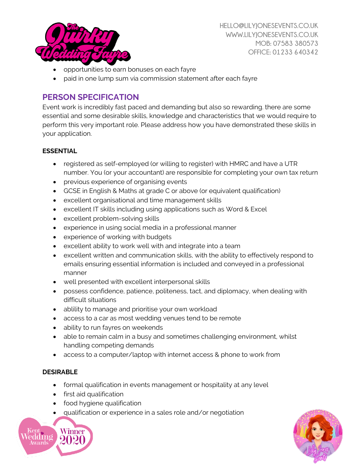

- opportunities to earn bonuses on each fayre
- paid in one lump sum via commission statement after each fayre

### **PERSON SPECIFICATION**

Event work is incredibly fast paced and demanding but also so rewarding. there are some essential and some desirable skills, knowledge and characteristics that we would require to perform this very important role. Please address how you have demonstrated these skills in your application.

#### **ESSENTIAL**

- registered as self-employed (or willing to register) with HMRC and have a UTR number. You (or your accountant) are responsible for completing your own tax return
- previous experience of organising events
- GCSE in English & Maths at grade C or above (or equivalent qualification)
- excellent organisational and time management skills
- excellent IT skills including using applications such as Word & Excel
- excellent problem-solving skills
- experience in using social media in a professional manner
- experience of working with budgets
- excellent ability to work well with and integrate into a team
- excellent written and communication skills, with the ability to effectively respond to emails ensuring essential information is included and conveyed in a professional manner
- well presented with excellent interpersonal skills
- possess confidence, patience, politeness, tact, and diplomacy, when dealing with difficult situations
- ablility to manage and prioritise your own workload
- access to a car as most wedding venues tend to be remote
- ability to run fayres on weekends
- able to remain calm in a busy and sometimes challenging environment, whilst handling competing demands
- access to a computer/laptop with internet access & phone to work from

#### **DESIRABLE**

- formal qualification in events management or hospitality at any level
- first aid qualification
- food hygiene qualification
- qualification or experience in a sales role and/or negotiation